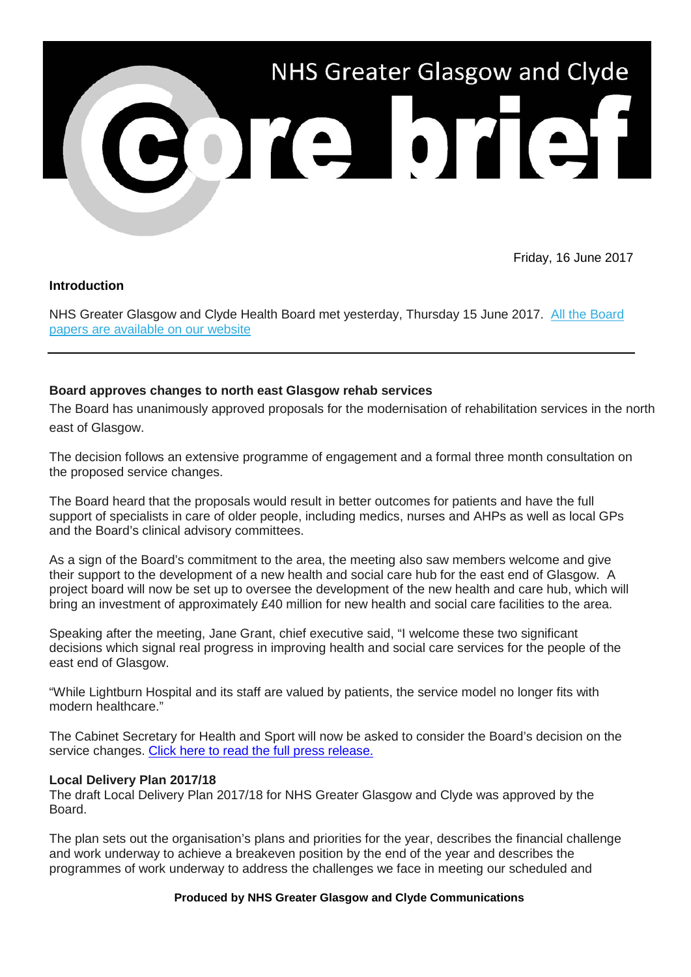

Friday, 16 June 2017

# **Introduction**

NHS Greater Glasgow and Clyde Health Board met yesterday, Thursday 15 June 2017. [All the Board](http://nhsggc.us12.list-manage1.com/track/click?u=0f385b5aea37eaf0213bd19fb&id=0e0a9153a5&e=5af5e1832c)  [papers are available on our website](http://nhsggc.us12.list-manage1.com/track/click?u=0f385b5aea37eaf0213bd19fb&id=0e0a9153a5&e=5af5e1832c)

# **Board approves changes to north east Glasgow rehab services**

The Board has unanimously approved proposals for the modernisation of rehabilitation services in the north east of Glasgow.

The decision follows an extensive programme of engagement and a formal three month consultation on the proposed service changes.

The Board heard that the proposals would result in better outcomes for patients and have the full support of specialists in care of older people, including medics, nurses and AHPs as well as local GPs and the Board's clinical advisory committees.

As a sign of the Board's commitment to the area, the meeting also saw members welcome and give their support to the development of a new health and social care hub for the east end of Glasgow. A project board will now be set up to oversee the development of the new health and care hub, which will bring an investment of approximately £40 million for new health and social care facilities to the area.

Speaking after the meeting, Jane Grant, chief executive said, "I welcome these two significant decisions which signal real progress in improving health and social care services for the people of the east end of Glasgow.

"While Lightburn Hospital and its staff are valued by patients, the service model no longer fits with modern healthcare."

The Cabinet Secretary for Health and Sport will now be asked to consider the Board's decision on the service changes. [Click here to read the full press release.](http://www.nhsggc.org.uk/about-us/media-centre/news/2017/06/lightburn-hospital/)

## **Local Delivery Plan 2017/18**

The draft Local Delivery Plan 2017/18 for NHS Greater Glasgow and Clyde was approved by the Board.

The plan sets out the organisation's plans and priorities for the year, describes the financial challenge and work underway to achieve a breakeven position by the end of the year and describes the programmes of work underway to address the challenges we face in meeting our scheduled and

### **Produced by NHS Greater Glasgow and Clyde Communications**